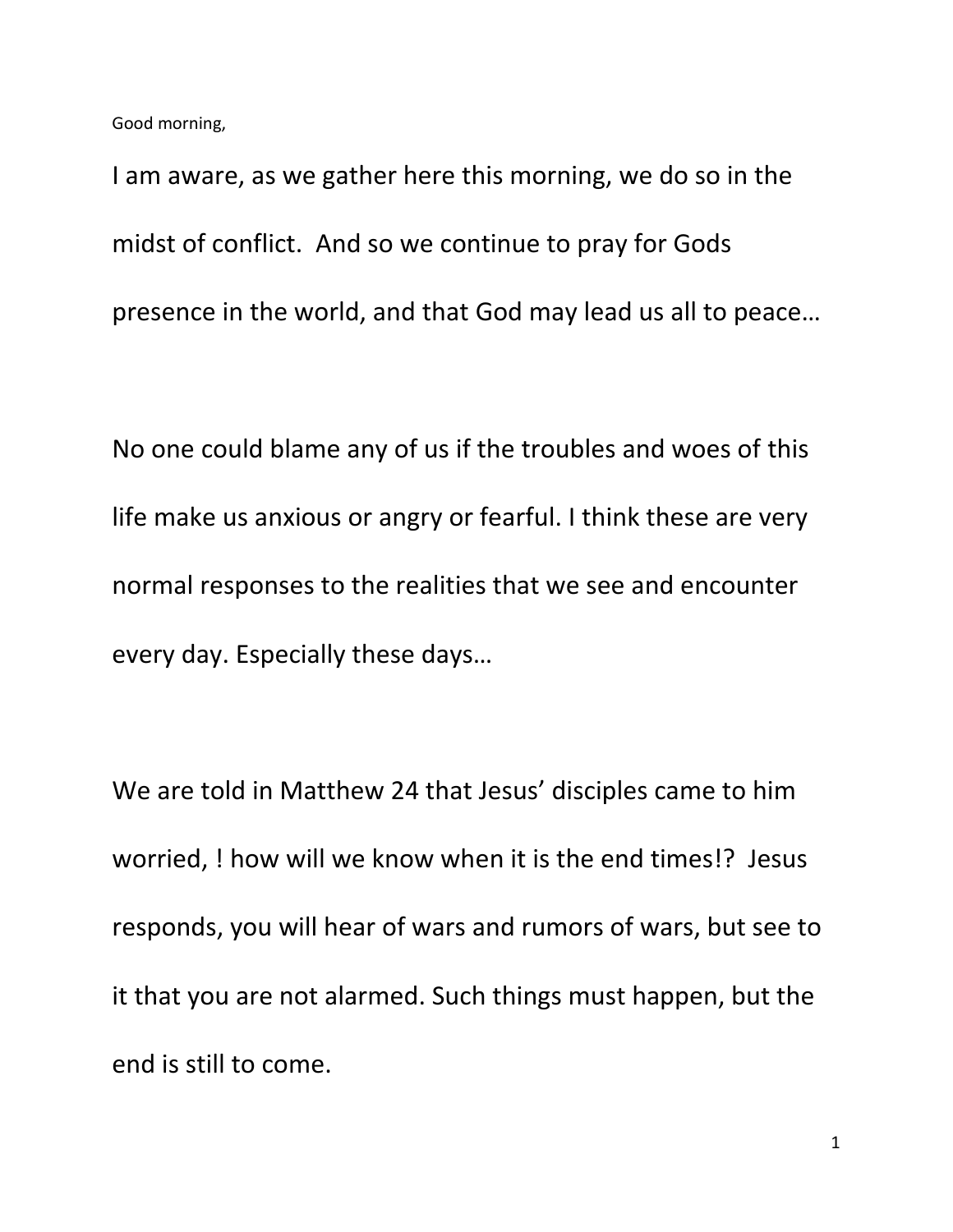Good morning,

I am aware, as we gather here this morning, we do so in the midst of conflict. And so we continue to pray for Gods presence in the world, and that God may lead us all to peace…

No one could blame any of us if the troubles and woes of this life make us anxious or angry or fearful. I think these are very normal responses to the realities that we see and encounter every day. Especially these days…

We are told in Matthew 24 that Jesus' disciples came to him worried, ! how will we know when it is the end times!? Jesus responds, you will hear of wars and rumors of wars, but see to it that you are not alarmed. Such things must happen, but the end is still to come.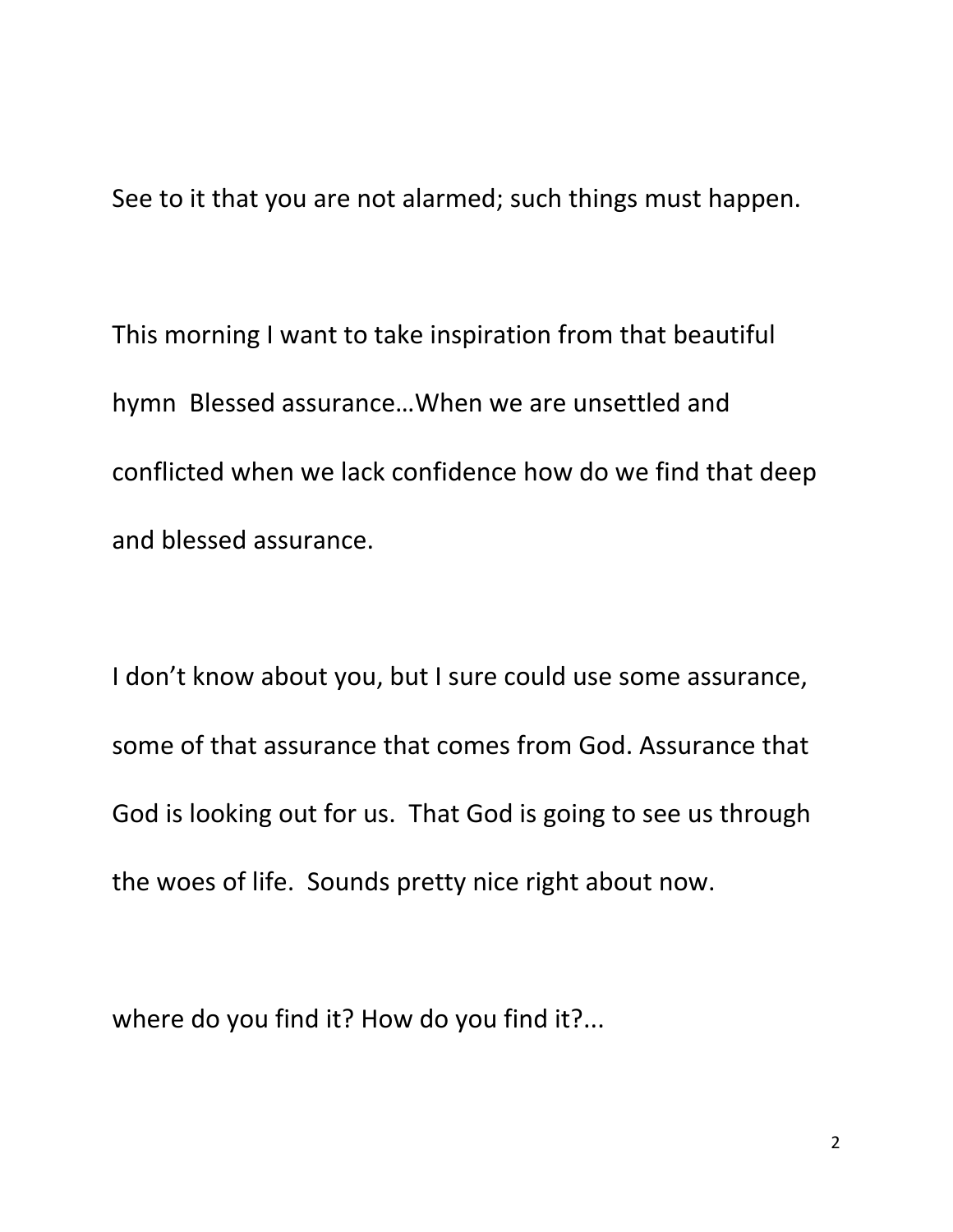See to it that you are not alarmed; such things must happen.

This morning I want to take inspiration from that beautiful hymn Blessed assurance…When we are unsettled and conflicted when we lack confidence how do we find that deep and blessed assurance.

I don't know about you, but I sure could use some assurance, some of that assurance that comes from God. Assurance that God is looking out for us. That God is going to see us through the woes of life. Sounds pretty nice right about now.

where do you find it? How do you find it?...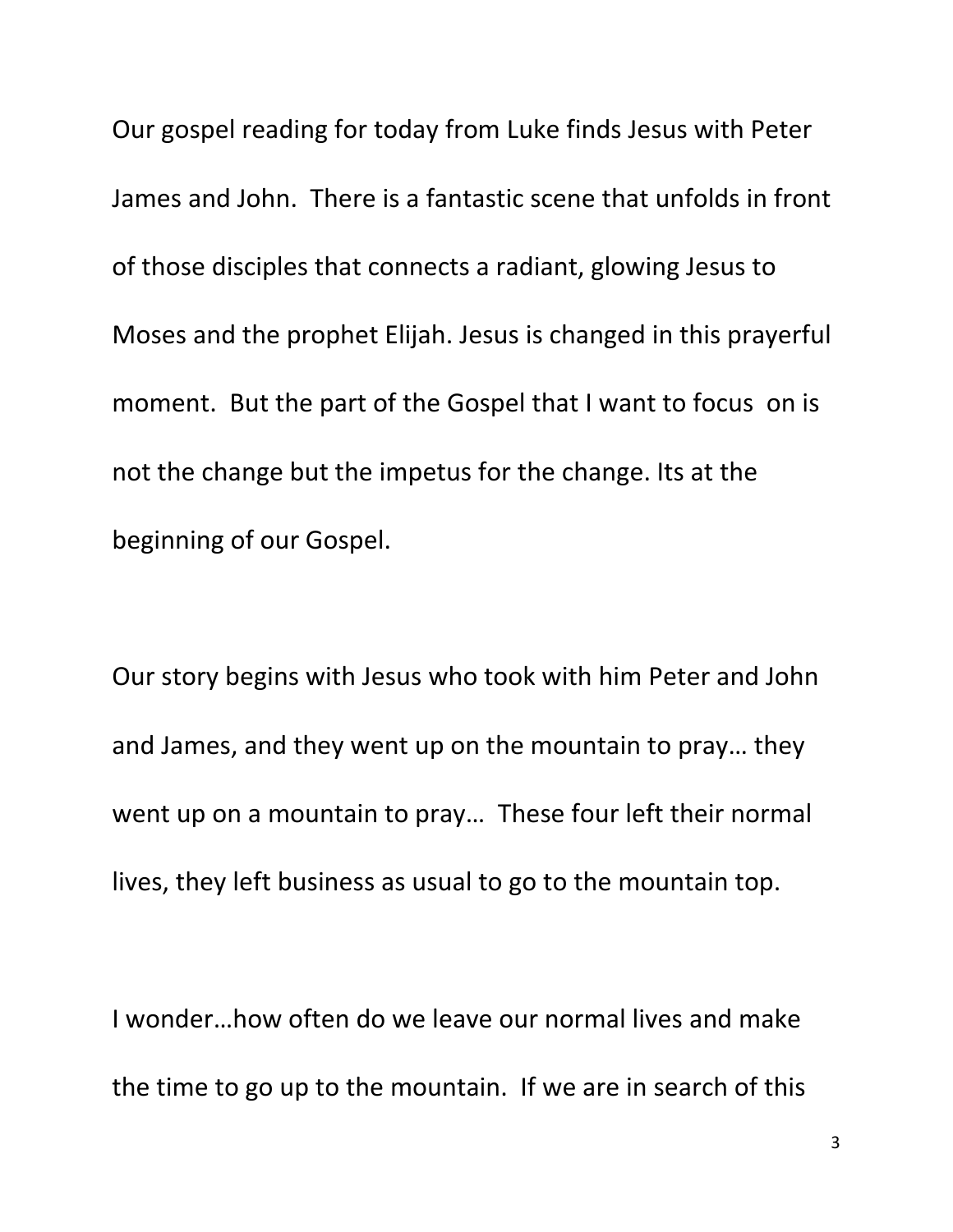Our gospel reading for today from Luke finds Jesus with Peter James and John. There is a fantastic scene that unfolds in front of those disciples that connects a radiant, glowing Jesus to Moses and the prophet Elijah. Jesus is changed in this prayerful moment. But the part of the Gospel that I want to focus on is not the change but the impetus for the change. Its at the beginning of our Gospel.

Our story begins with Jesus who took with him Peter and John and James, and they went up on the mountain to pray… they went up on a mountain to pray… These four left their normal lives, they left business as usual to go to the mountain top.

I wonder…how often do we leave our normal lives and make the time to go up to the mountain. If we are in search of this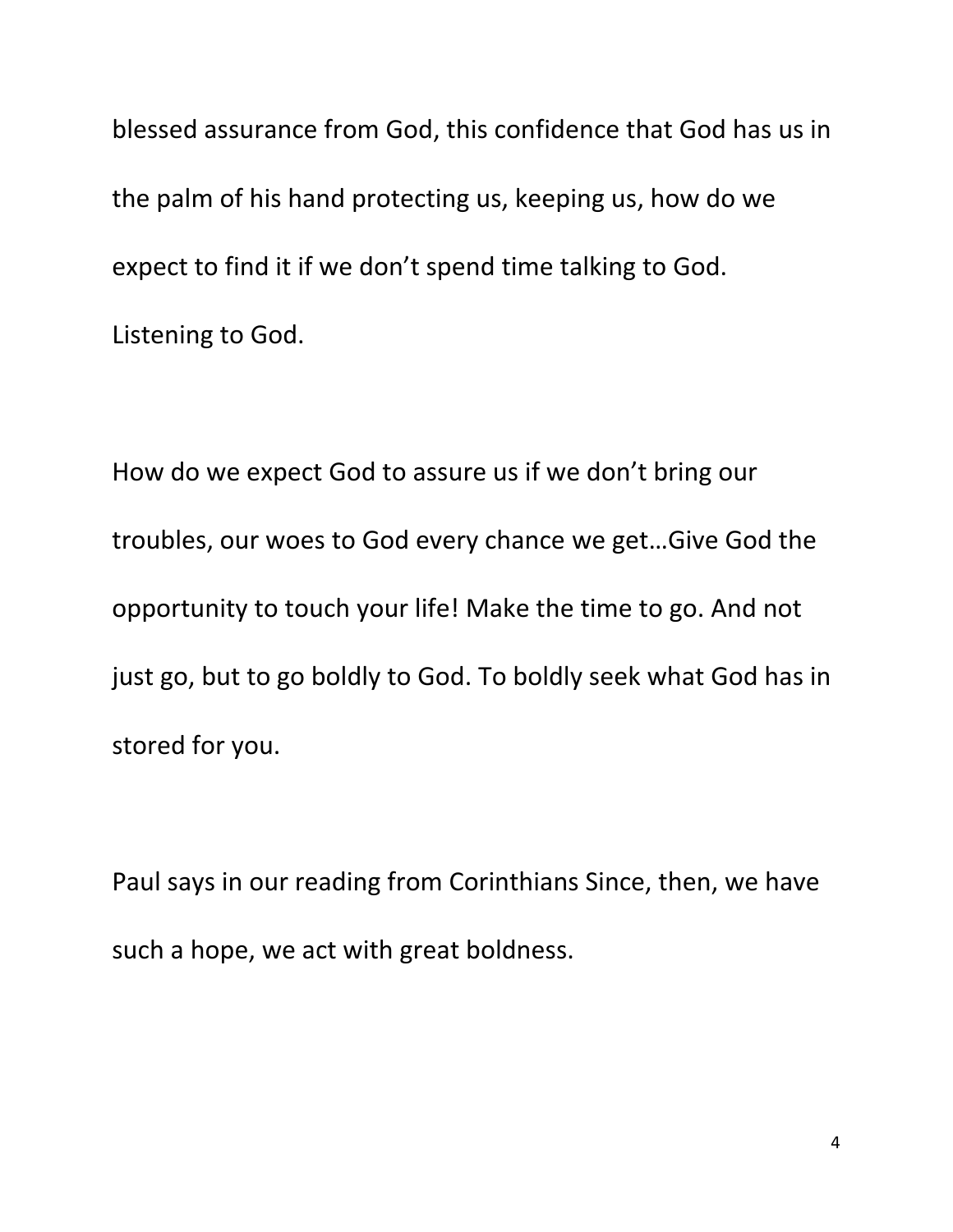blessed assurance from God, this confidence that God has us in the palm of his hand protecting us, keeping us, how do we expect to find it if we don't spend time talking to God. Listening to God.

How do we expect God to assure us if we don't bring our troubles, our woes to God every chance we get…Give God the opportunity to touch your life! Make the time to go. And not just go, but to go boldly to God. To boldly seek what God has in stored for you.

Paul says in our reading from Corinthians Since, then, we have such a hope, we act with great boldness.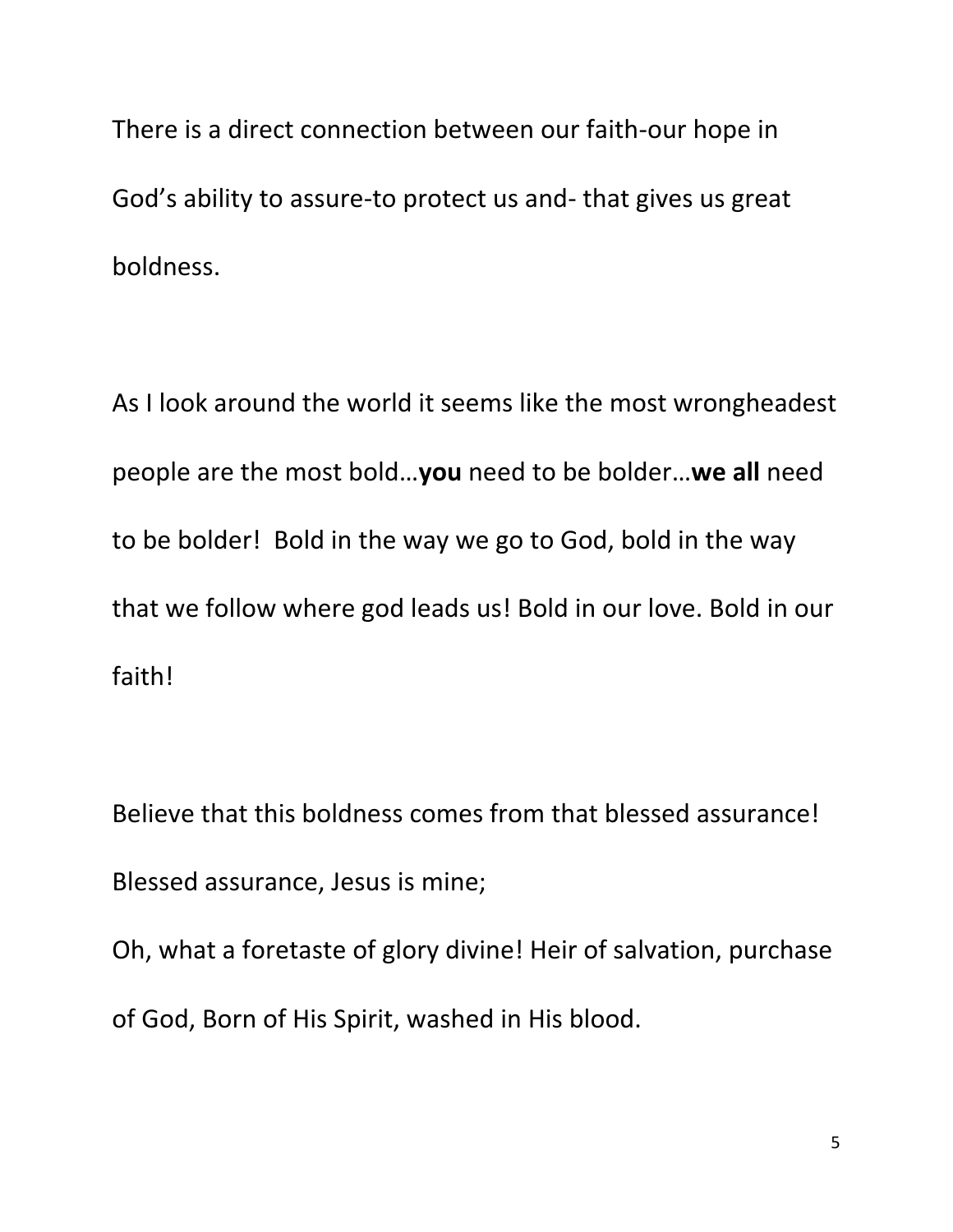There is a direct connection between our faith-our hope in God's ability to assure-to protect us and- that gives us great boldness.

As I look around the world it seems like the most wrongheadest people are the most bold…**you** need to be bolder…**we all** need to be bolder! Bold in the way we go to God, bold in the way that we follow where god leads us! Bold in our love. Bold in our faith!

Believe that this boldness comes from that blessed assurance! Blessed assurance, Jesus is mine;

Oh, what a foretaste of glory divine! Heir of salvation, purchase of God, Born of His Spirit, washed in His blood.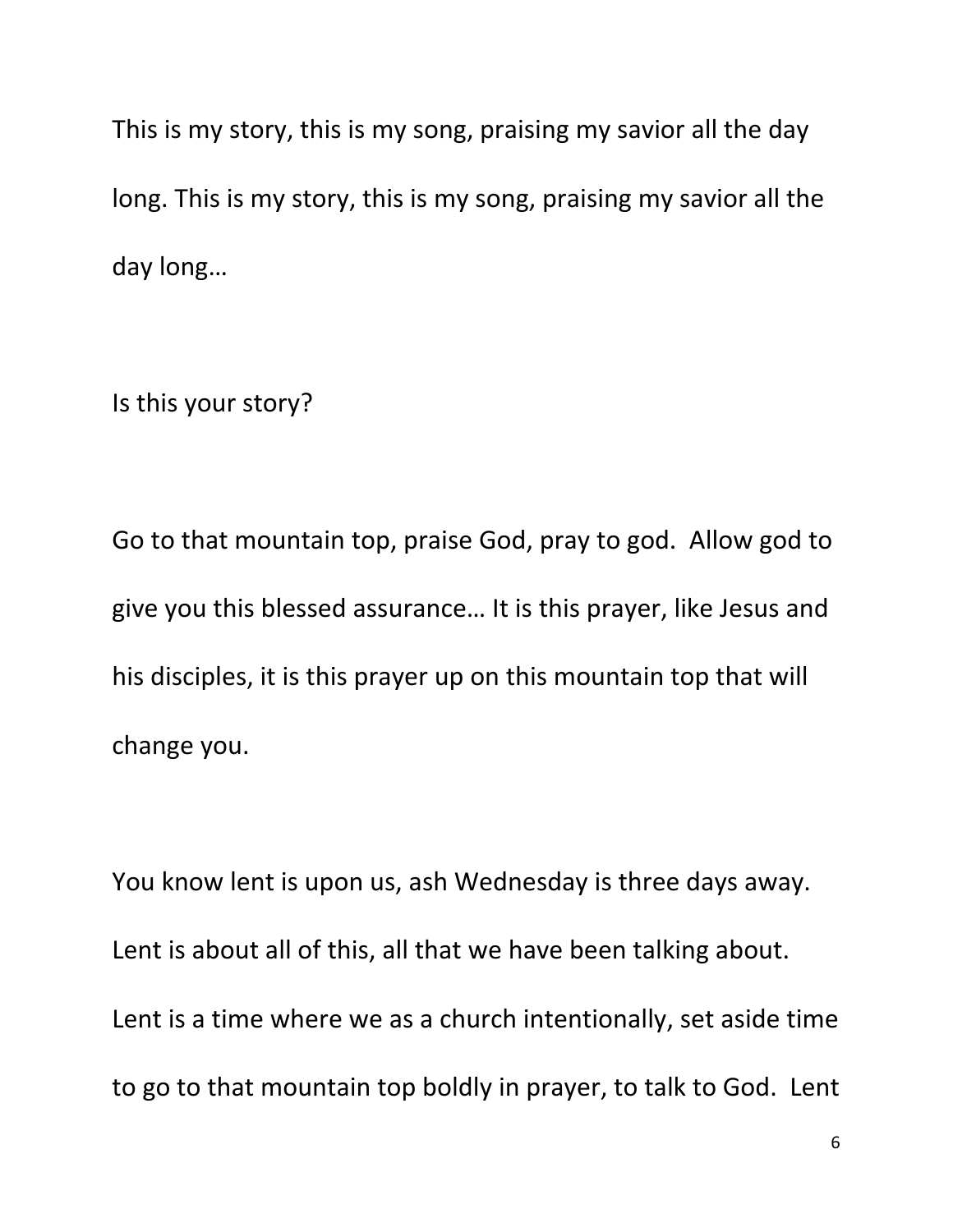This is my story, this is my song, praising my savior all the day long. This is my story, this is my song, praising my savior all the day long…

Is this your story?

Go to that mountain top, praise God, pray to god. Allow god to give you this blessed assurance… It is this prayer, like Jesus and his disciples, it is this prayer up on this mountain top that will change you.

You know lent is upon us, ash Wednesday is three days away. Lent is about all of this, all that we have been talking about. Lent is a time where we as a church intentionally, set aside time to go to that mountain top boldly in prayer, to talk to God. Lent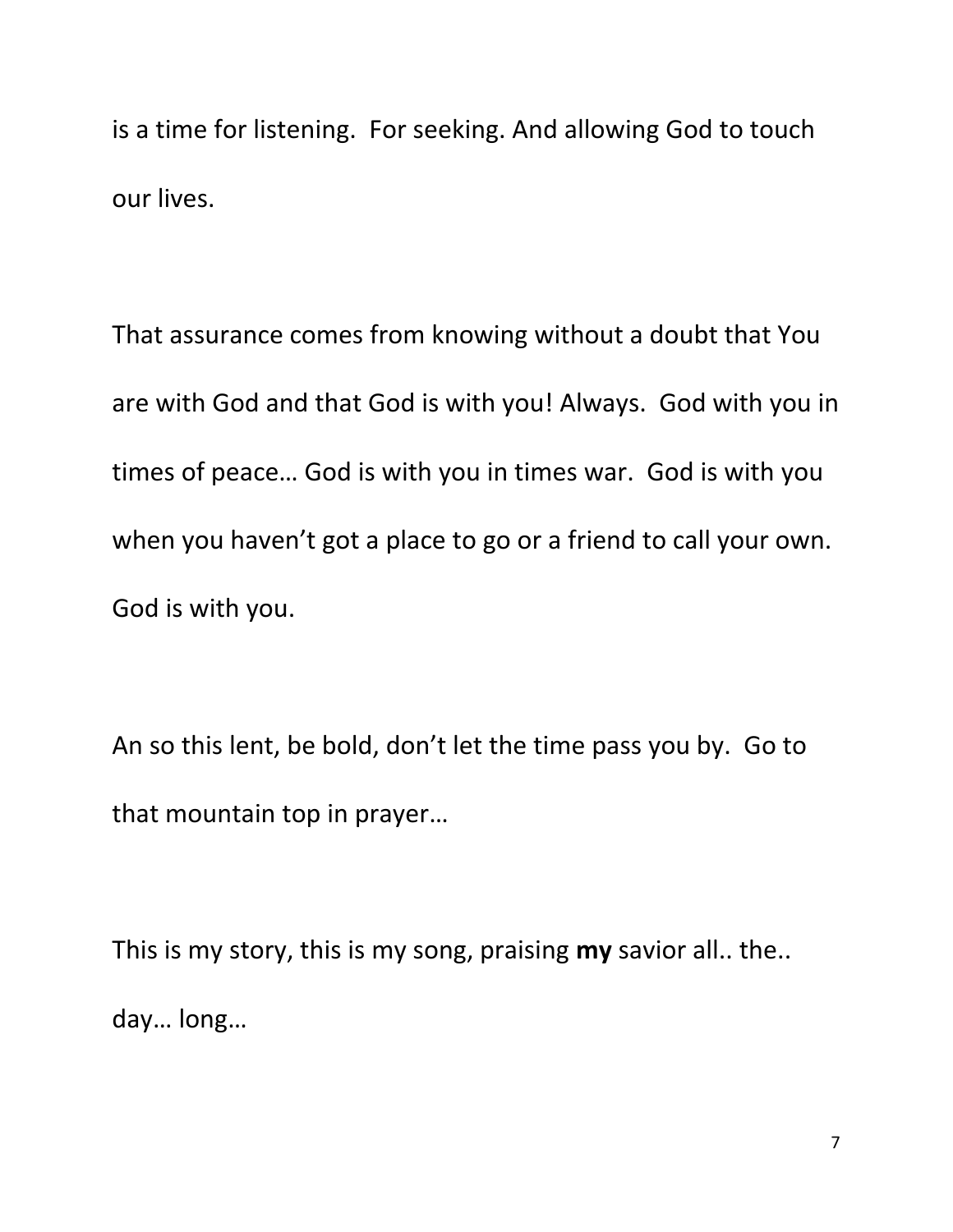is a time for listening. For seeking. And allowing God to touch our lives.

That assurance comes from knowing without a doubt that You are with God and that God is with you! Always. God with you in times of peace… God is with you in times war. God is with you when you haven't got a place to go or a friend to call your own. God is with you.

An so this lent, be bold, don't let the time pass you by. Go to that mountain top in prayer…

This is my story, this is my song, praising **my** savior all.. the.. day… long…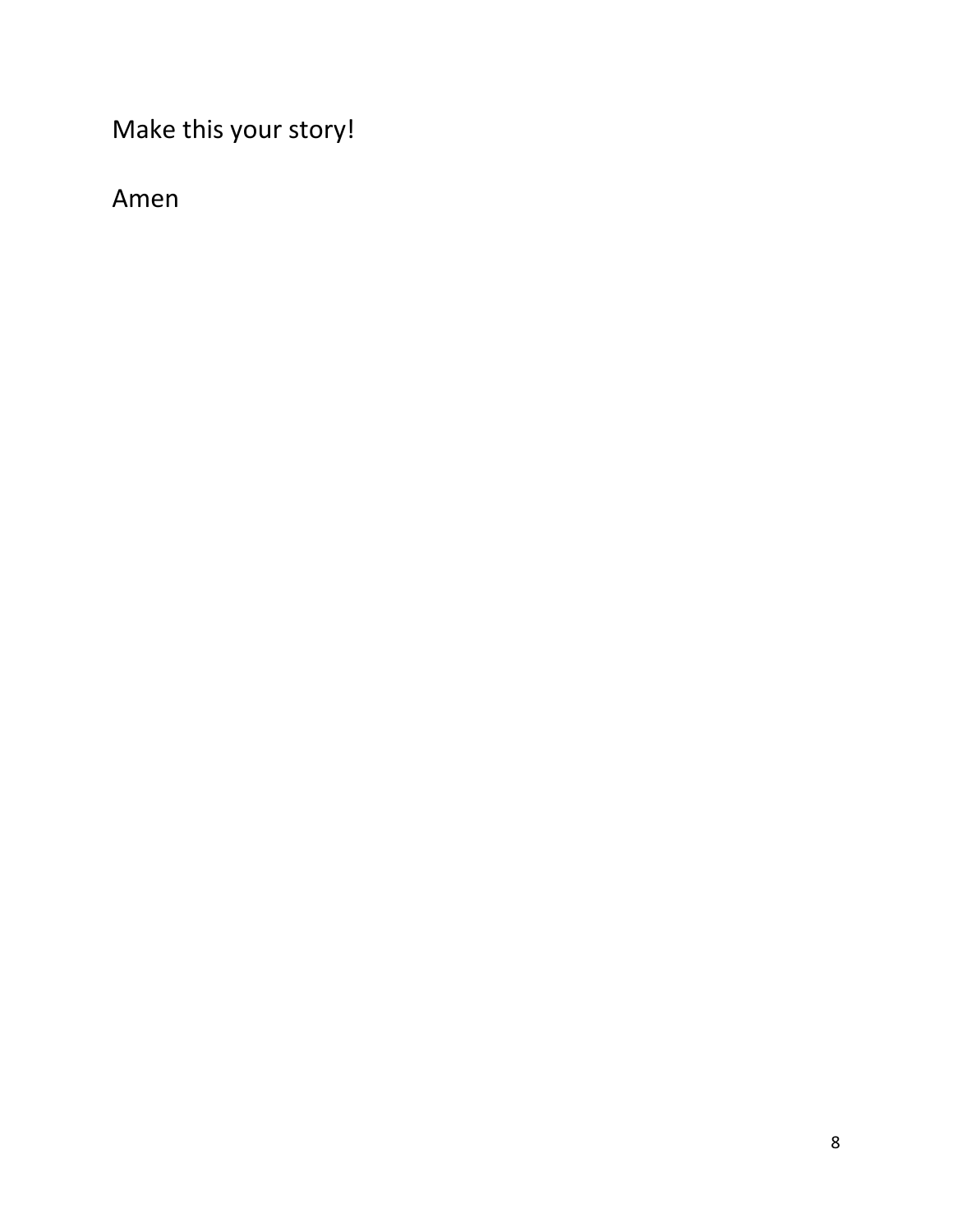Make this your story!

Amen